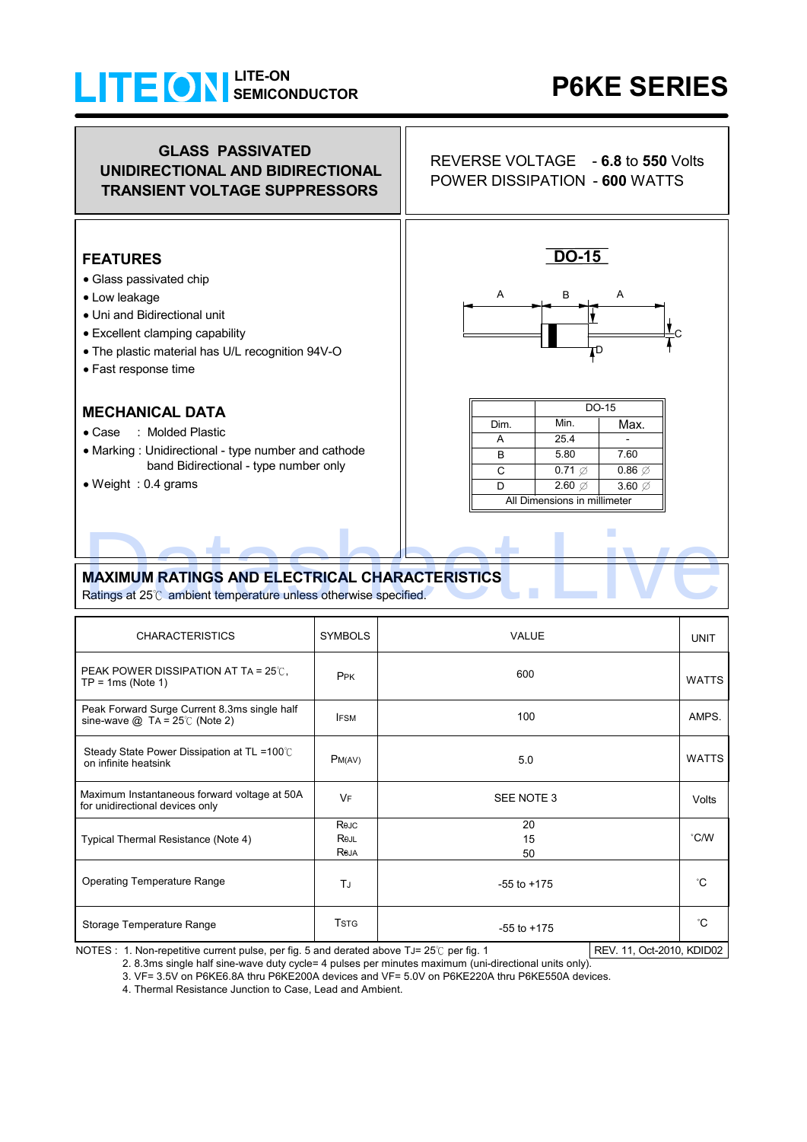## **SEMICONDUCTOR LITE-ON**

# **P6KE SERIES**

#### **FEATURES**  Glass passivated chip Low leakage Uni and Bidirectional unit Excellent clamping capability The plastic material has U/L recognition 94V-O • Fast response time **MECHANICAL DATA** Case : Molded Plastic Marking : Unidirectional - type number and cathode band Bidirectional - type number only • Weight : 0.4 grams Operating Temperature Range  $\overline{J}_J$   $\overline{J}_J$  -55 to +175 Storage Temperature Range **TEST RESOCITE 12** TSTG FOR 255 to +175 C IFSM Peak Forward Surge Current 8.3ms single half  $\vert$  IFSM  $\vert$  100  $\vert$  100  $\vert$  AMPS. UNIT Steady State Power Dissipation at TL =100 ℃  $\parallel$  PM(AV)  $\parallel$  PM(AV) 5.0 5.0 WATTS on infinite heatsink PPK NATTS **PEAK POWER DISSIPATION AT TA = 25℃.**  $TP = 1ms$  (Note 1) SYMBOLS VALUE 600  $^{\circ}$ C CHARACTERISTICS **DO-15** A C D B A Max. All Dimensions in millimeter Min. DO-15 Dim. A D  $\overline{c}$  $\overline{B}$  25.4 7.60 - 5.80  $0.71$   $\emptyset$  $2.60\%$  3.60  $\%$  $0.86$   $\emptyset$ **GLASS PASSIVATED UNIDIRECTIONAL AND BIDIRECTIONAL TRANSIENT VOLTAGE SUPPRESSORS** REVERSE VOLTAGE - **6.8** to **550** Volts POWER DISSIPATION - **600** WATTS <sup>V</sup><sup>F</sup> SEE NOTE 3 Volts Maximum Instantaneous forward voltage at 50A for unidirectional devices only **MAXIMUM RATINGS AND ELECTRICAL CHARACTERISTICS** Ratings at 25℃ ambient temperature unless otherwise specified. Typical Thermal Resistance (Note 4)  $\overline{20}$ 15 50 C/W Re.IC Re.il **Reja** MAXIMUM RATINGS AND ELECTRICAL CHARACTERISTICS<br>Ratings at 25°C ambient temperature unless otherwise specified.

NOTES : 1. Non-repetitive current pulse, per fig. 5 and derated above TJ= 25℃ per fig. 1 REV. 11, Oct-2010, KDID02

2. 8.3ms single half sine-wave duty cycle= 4 pulses per minutes maximum (uni-directional units only).

3. VF= 3.5V on P6KE6.8A thru P6KE200A devices and VF= 5.0V on P6KE220A thru P6KE550A devices.

4. Thermal Resistance Junction to Case, Lead and Ambient.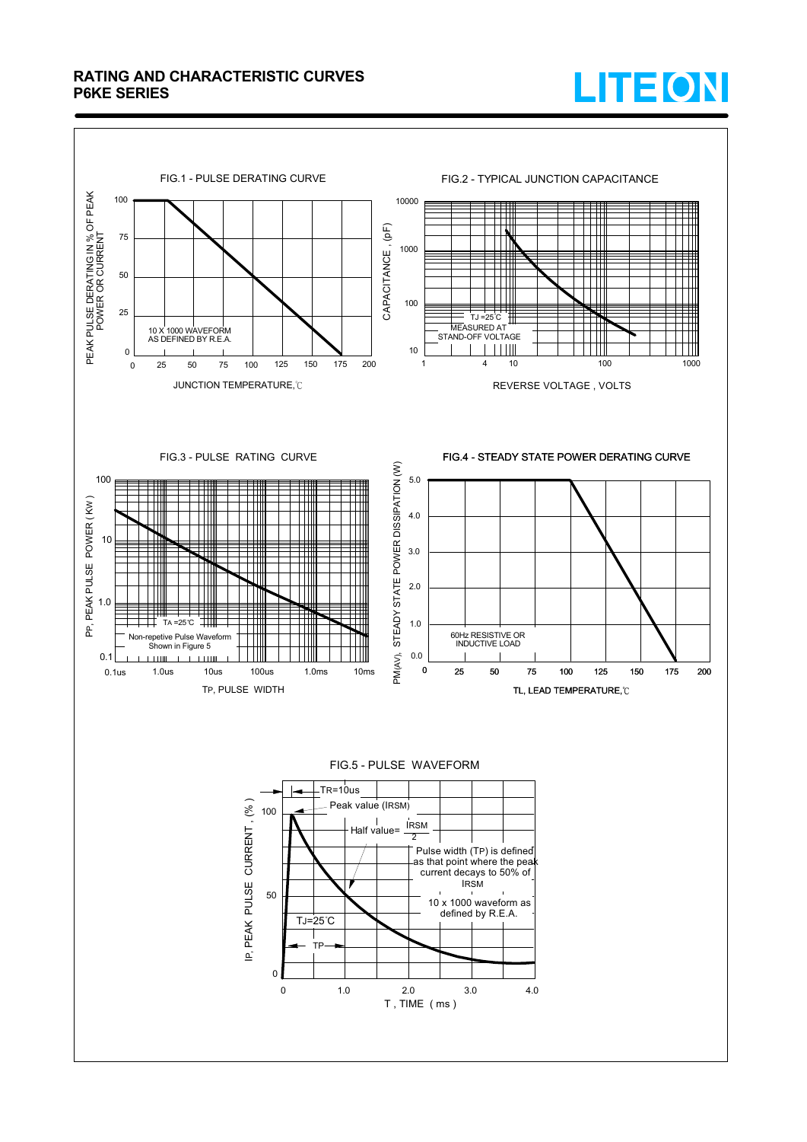### **RATING AND CHARACTERISTIC CURVES P6KE SERIES**



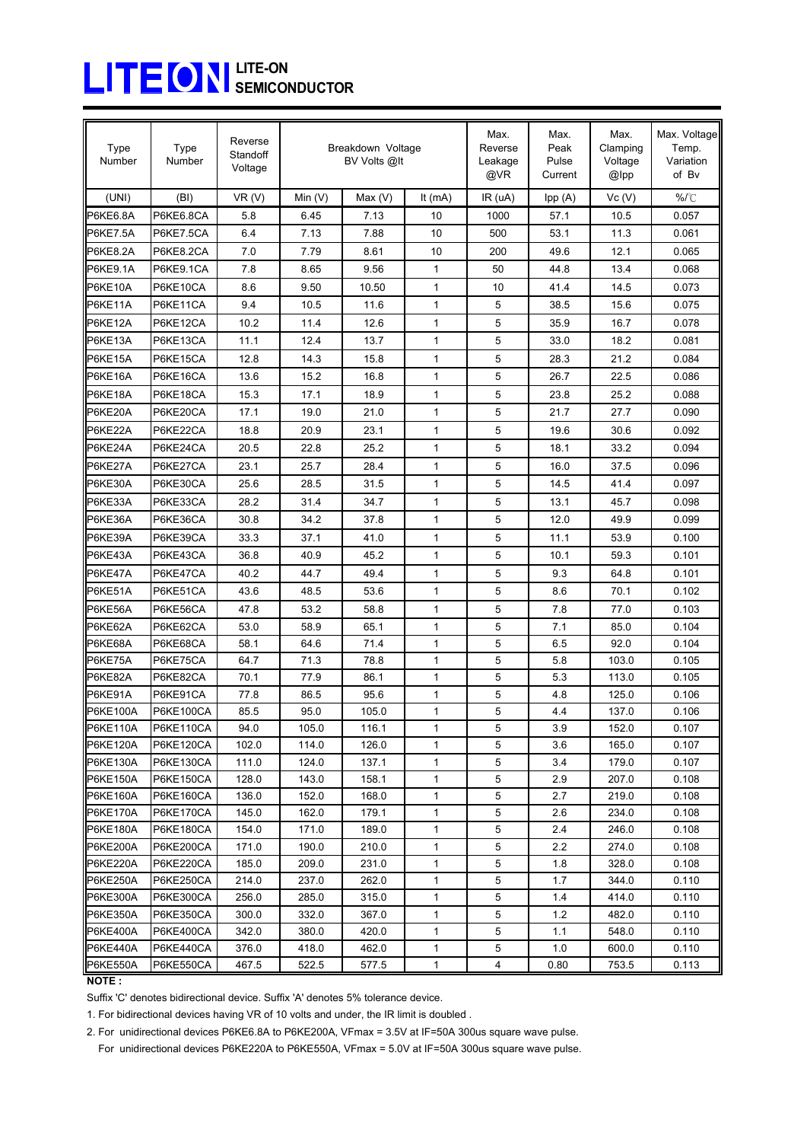## **SEMICONDUCTOR LITE-ON**

| <b>Type</b><br>Number              | Type<br>Number         | Reverse<br>Standoff<br>Voltage | Breakdown Voltage<br>BV Volts @It |                |              | Max.<br>Reverse<br>Leakage<br>@VR | Max.<br>Peak<br>Pulse<br>Current | Max.<br>Clamping<br>Voltage<br>@lpp | Max. Voltage<br>Temp.<br>Variation<br>of Bv |
|------------------------------------|------------------------|--------------------------------|-----------------------------------|----------------|--------------|-----------------------------------|----------------------------------|-------------------------------------|---------------------------------------------|
| (UNI)                              | (BI)                   | VR(V)                          | Min $(V)$                         | Max(V)         | It $(mA)$    | IR(uA)                            | Ipp (A)                          | Vc(V)                               | ℅/℃                                         |
| P6KE6.8A                           | P6KE6.8CA              | 5.8                            | 6.45                              | 7.13           | 10           | 1000                              | 57.1                             | 10.5                                | 0.057                                       |
| P6KE7.5A                           | P6KE7.5CA              | 6.4                            | 7.13                              | 7.88           | 10           | 500                               | 53.1                             | 11.3                                | 0.061                                       |
| P6KE8.2A                           | P6KE8.2CA              | 7.0                            | 7.79                              | 8.61           | 10           | 200                               | 49.6                             | 12.1                                | 0.065                                       |
| P6KE9.1A                           | P6KE9.1CA              | 7.8                            | 8.65                              | 9.56           | 1            | 50                                | 44.8                             | 13.4                                | 0.068                                       |
| P6KE10A                            | P6KE10CA               | 8.6                            | 9.50                              | 10.50          | 1            | 10                                | 41.4                             | 14.5                                | 0.073                                       |
| P6KE11A                            | P6KE11CA               | 9.4                            | 10.5                              | 11.6           | 1            | 5                                 | 38.5                             | 15.6                                | 0.075                                       |
| P6KE12A                            | P6KE12CA               | 10.2                           | 11.4                              | 12.6           | 1            | 5                                 | 35.9                             | 16.7                                | 0.078                                       |
| P6KE13A                            | P6KE13CA               | 11.1                           | 12.4                              | 13.7           | 1            | 5                                 | 33.0                             | 18.2                                | 0.081                                       |
| P6KE15A                            | P6KE15CA               | 12.8                           | 14.3                              | 15.8           | $\mathbf{1}$ | 5                                 | 28.3                             | 21.2                                | 0.084                                       |
| P6KE16A                            | P6KE16CA               | 13.6                           | 15.2                              | 16.8           | 1            | 5                                 | 26.7                             | 22.5                                | 0.086                                       |
| P6KE18A                            | P6KE18CA               | 15.3                           | 17.1                              | 18.9           | 1            | 5                                 | 23.8                             | 25.2                                | 0.088                                       |
| P6KE20A                            | P6KE20CA               | 17.1                           | 19.0                              | 21.0           | 1            | 5                                 | 21.7                             | 27.7                                | 0.090                                       |
| P6KE22A                            | P6KE22CA               | 18.8                           | 20.9                              | 23.1           | 1            | 5                                 | 19.6                             | 30.6                                | 0.092                                       |
| P6KE24A                            | P6KE24CA               | 20.5                           | 22.8                              | 25.2           | $\mathbf{1}$ | 5                                 | 18.1                             | 33.2                                | 0.094                                       |
| P6KE27A                            | P6KE27CA               | 23.1                           | 25.7                              | 28.4           | 1            | 5                                 | 16.0                             | 37.5                                | 0.096                                       |
| P6KE30A                            | P6KE30CA               | 25.6                           | 28.5                              | 31.5           | 1            | 5                                 | 14.5                             | 41.4                                | 0.097                                       |
| P6KE33A                            | P6KE33CA               | 28.2                           | 31.4                              | 34.7           | 1            | 5                                 | 13.1                             | 45.7                                | 0.098                                       |
| P6KE36A                            | P6KE36CA               | 30.8                           | 34.2                              | 37.8           | $\mathbf{1}$ | 5                                 | 12.0                             | 49.9                                | 0.099                                       |
| P6KE39A                            | P6KE39CA               | 33.3                           | 37.1                              | 41.0           | 1            | 5                                 | 11.1                             | 53.9                                | 0.100                                       |
| P6KE43A                            | P6KE43CA               | 36.8                           | 40.9                              | 45.2           | 1            | 5                                 | 10.1                             | 59.3                                | 0.101                                       |
| P6KE47A                            | P6KE47CA               | 40.2                           | 44.7                              | 49.4           | 1            | 5                                 | 9.3                              | 64.8                                | 0.101                                       |
| P6KE51A                            | P6KE51CA               | 43.6                           | 48.5                              | 53.6           | 1            | 5                                 | 8.6                              | 70.1                                | 0.102                                       |
| P6KE56A                            | P6KE56CA               | 47.8                           | 53.2                              | 58.8           | 1            | 5                                 | 7.8                              | 77.0                                | 0.103                                       |
| P6KE62A                            | P6KE62CA               | 53.0                           | 58.9                              | 65.1           | 1            | 5                                 | 7.1                              | 85.0                                | 0.104                                       |
| P6KE68A                            | P6KE68CA               | 58.1                           | 64.6                              | 71.4           | $\mathbf{1}$ | 5                                 | 6.5                              | 92.0                                | 0.104                                       |
| P6KE75A                            | P6KE75CA               | 64.7                           | 71.3                              | 78.8           | $\mathbf{1}$ | 5                                 | 5.8                              | 103.0                               | 0.105                                       |
| P6KE82A                            | P6KE82CA               | 70.1                           | 77.9                              | 86.1           | 1            | 5                                 | 5.3                              | 113.0                               | 0.105                                       |
| P6KE91A                            | P6KE91CA               | 77.8                           | 86.5                              | 95.6           | 1            | 5                                 | 4.8                              | 125.0                               | 0.106                                       |
| P6KE100A                           | P6KE100CA              | 85.5                           | 95.0                              | 105.0          | 1            | 5                                 | 4.4                              | 137.0                               | 0.106                                       |
| <b>P6KE110A</b>                    | <b>P6KE110CA</b>       | 94.0                           | 105.0                             | 116.1          | 1            | 5                                 | 3.9                              | 152.0                               | 0.107                                       |
| P6KE120A                           | P6KE120CA              | 102.0                          | 114.0                             | 126.0          | 1            | 5                                 | 3.6                              | 165.0                               | 0.107                                       |
| <b>P6KE130A</b>                    | P6KE130CA              | 111.0                          | 124.0                             | 137.1          | 1            | 5                                 | 3.4                              | 179.0                               | 0.107                                       |
| <b>P6KE150A</b>                    | P6KE150CA              | 128.0                          | 143.0                             | 158.1          | 1            | 5                                 | 2.9                              | 207.0                               | 0.108                                       |
| P6KE160A                           | <b>P6KE160CA</b>       | 136.0                          | 152.0                             | 168.0          | 1            | 5                                 | 2.7                              | 219.0                               | 0.108                                       |
| <b>P6KE170A</b>                    | P6KE170CA              | 145.0                          | 162.0                             | 179.1          | 1            | 5                                 | 2.6                              | 234.0                               | 0.108                                       |
| <b>P6KE180A</b>                    | P6KE180CA              | 154.0                          | 171.0                             | 189.0          | 1            | 5                                 | 2.4                              | 246.0                               | 0.108                                       |
| <b>P6KE200A</b>                    | P6KE200CA              | 171.0                          | 190.0                             | 210.0          | 1            | 5                                 | 2.2                              | 274.0                               | 0.108                                       |
| <b>P6KE220A</b>                    | P6KE220CA<br>P6KE250CA | 185.0                          | 209.0                             | 231.0          | 1            | 5                                 | 1.8                              | 328.0                               | 0.108                                       |
| <b>P6KE250A</b><br><b>P6KE300A</b> | <b>P6KE300CA</b>       | 214.0<br>256.0                 | 237.0<br>285.0                    | 262.0<br>315.0 | 1<br>1       | 5<br>5                            | 1.7<br>1.4                       | 344.0<br>414.0                      | 0.110<br>0.110                              |
| <b>P6KE350A</b>                    | P6KE350CA              | 300.0                          | 332.0                             | 367.0          | 1            | 5                                 | 1.2                              | 482.0                               | 0.110                                       |
| <b>P6KE400A</b>                    | P6KE400CA              | 342.0                          | 380.0                             | 420.0          | 1            | 5                                 | 1.1                              | 548.0                               | 0.110                                       |
| P6KE440A                           | P6KE440CA              | 376.0                          | 418.0                             | 462.0          | 1            | 5                                 | 1.0                              | 600.0                               | 0.110                                       |
| <b>P6KE550A</b>                    | P6KE550CA              | 467.5                          | 522.5                             | 577.5          | 1            | 4                                 | 0.80                             | 753.5                               | 0.113                                       |

**NOTE :**

Suffix 'C' denotes bidirectional device. Suffix 'A' denotes 5% tolerance device.

1. For bidirectional devices having VR of 10 volts and under, the IR limit is doubled .

2. For unidirectional devices P6KE6.8A to P6KE200A, VFmax = 3.5V at IF=50A 300us square wave pulse.

For unidirectional devices P6KE220A to P6KE550A, VFmax = 5.0V at IF=50A 300us square wave pulse.